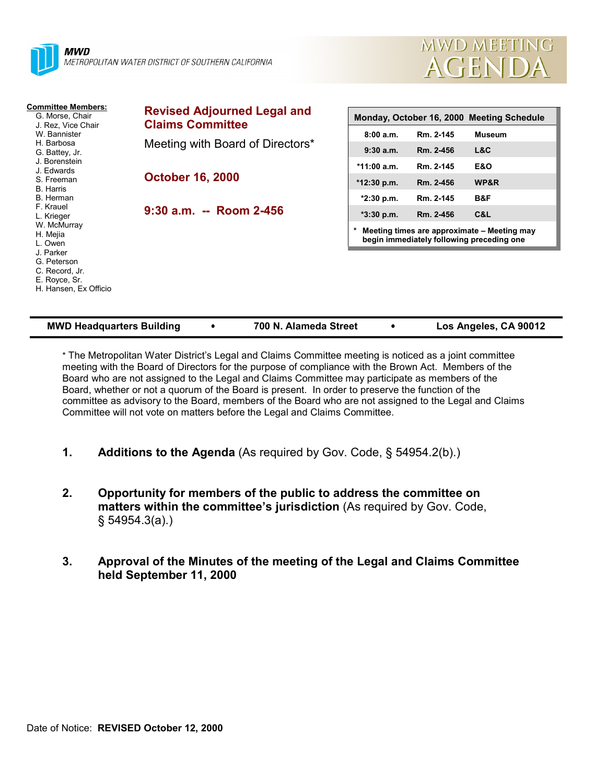



| <b>Committee Members:</b><br>G. Morse, Chair<br>J. Rez. Vice Chair | <b>Revised Adjourned Legal and</b><br><b>Claims Committee</b> | Monday, October 16, 2000 Meeting Schedule                                                |           |                |
|--------------------------------------------------------------------|---------------------------------------------------------------|------------------------------------------------------------------------------------------|-----------|----------------|
| W. Bannister                                                       |                                                               | 8:00a.m.                                                                                 | Rm. 2-145 | <b>Museum</b>  |
| H. Barbosa<br>G. Battey, Jr.                                       | Meeting with Board of Directors*                              | 9:30a.m.                                                                                 | Rm. 2-456 | L&C            |
| J. Borenstein<br>J. Edwards                                        |                                                               | $*11:00$ a.m.                                                                            | Rm. 2-145 | <b>E&amp;O</b> |
| S. Freeman<br>B. Harris                                            | <b>October 16, 2000</b>                                       | $*12:30$ p.m.                                                                            | Rm. 2-456 | WP&R           |
| B. Herman                                                          |                                                               | $*2:30$ p.m.                                                                             | Rm. 2-145 | B&F            |
| F. Krauel<br>L. Krieger                                            | $9:30$ a.m. -- Room 2-456                                     | $*3:30$ p.m.                                                                             | Rm. 2-456 | C&L            |
| W. McMurray<br>H. Mejia<br>L. Owen                                 |                                                               | Meeting times are approximate – Meeting may<br>begin immediately following preceding one |           |                |
| J. Parker<br>G. Peterson<br>C. Record, Jr.<br>E. Royce, Sr.        |                                                               |                                                                                          |           |                |
| H. Hansen, Ex Officio                                              |                                                               |                                                                                          |           |                |

| <b>MWD Headquarters Building</b> |  | 700 N. Alameda Street |  | Los Angeles, CA 90012 |
|----------------------------------|--|-----------------------|--|-----------------------|
|----------------------------------|--|-----------------------|--|-----------------------|

\* The Metropolitan Water District's Legal and Claims Committee meeting is noticed as a joint committee meeting with the Board of Directors for the purpose of compliance with the Brown Act. Members of the Board who are not assigned to the Legal and Claims Committee may participate as members of the Board, whether or not a quorum of the Board is present. In order to preserve the function of the committee as advisory to the Board, members of the Board who are not assigned to the Legal and Claims Committee will not vote on matters before the Legal and Claims Committee.

- **1. Additions to the Agenda** (As required by Gov. Code, § 54954.2(b).)
- **2. Opportunity for members of the public to address the committee on matters within the committee's jurisdiction** (As required by Gov. Code, § 54954.3(a).)
- **3. Approval of the Minutes of the meeting of the Legal and Claims Committee held September 11, 2000**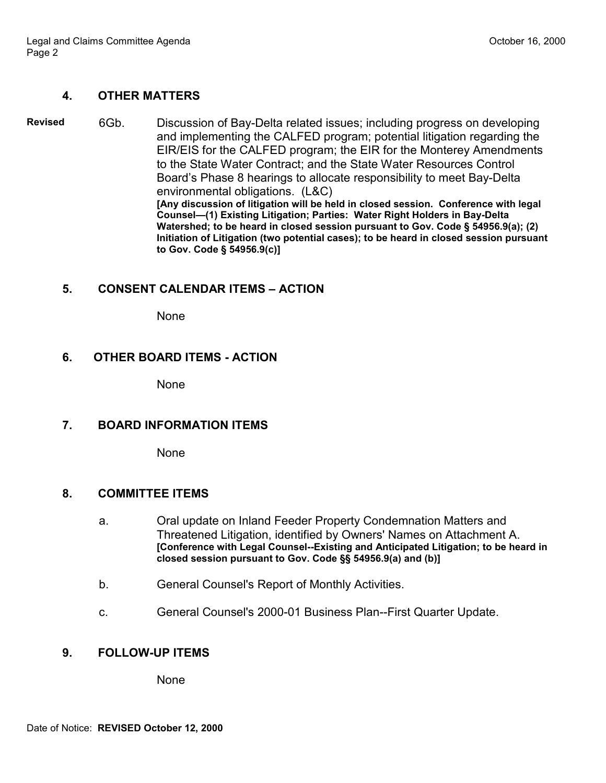## **4. OTHER MATTERS**

**Revised** 6Gb. Discussion of Bay-Delta related issues; including progress on developing and implementing the CALFED program; potential litigation regarding the EIR/EIS for the CALFED program; the EIR for the Monterey Amendments to the State Water Contract; and the State Water Resources Control Board's Phase 8 hearings to allocate responsibility to meet Bay-Delta environmental obligations. (L&C) **[Any discussion of litigation will be held in closed session. Conference with legal Counsel—(1) Existing Litigation; Parties: Water Right Holders in Bay-Delta Watershed; to be heard in closed session pursuant to Gov. Code § 54956.9(a); (2) Initiation of Litigation (two potential cases); to be heard in closed session pursuant to Gov. Code § 54956.9(c)]**

### **5. CONSENT CALENDAR ITEMS – ACTION**

None

#### **6. OTHER BOARD ITEMS - ACTION**

None

#### **7. BOARD INFORMATION ITEMS**

None

#### **8. COMMITTEE ITEMS**

- a. Oral update on Inland Feeder Property Condemnation Matters and Threatened Litigation, identified by Owners' Names on Attachment A. **[Conference with Legal Counsel--Existing and Anticipated Litigation; to be heard in closed session pursuant to Gov. Code §§ 54956.9(a) and (b)]**
- b. General Counsel's Report of Monthly Activities.
- c. General Counsel's 2000-01 Business Plan--First Quarter Update.

## **9. FOLLOW-UP ITEMS**

None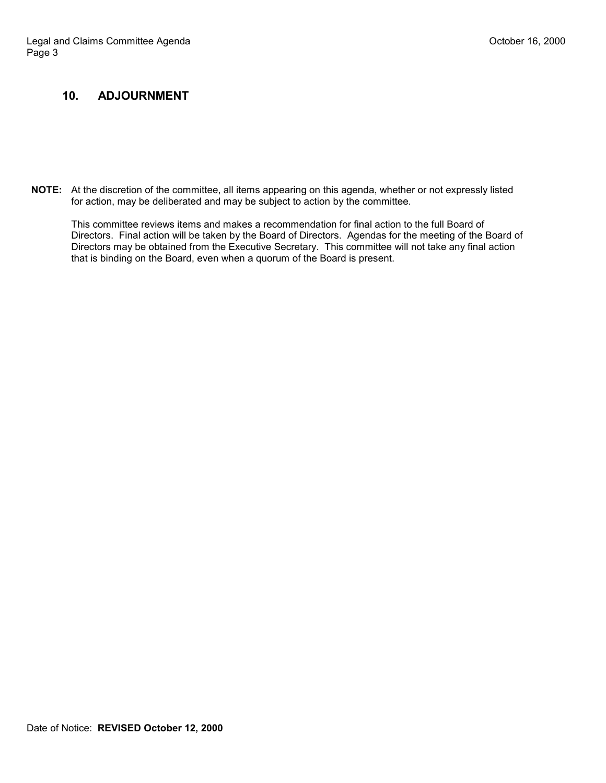## **10. ADJOURNMENT**

**NOTE:** At the discretion of the committee, all items appearing on this agenda, whether or not expressly listed for action, may be deliberated and may be subject to action by the committee.

This committee reviews items and makes a recommendation for final action to the full Board of Directors. Final action will be taken by the Board of Directors. Agendas for the meeting of the Board of Directors may be obtained from the Executive Secretary. This committee will not take any final action that is binding on the Board, even when a quorum of the Board is present.